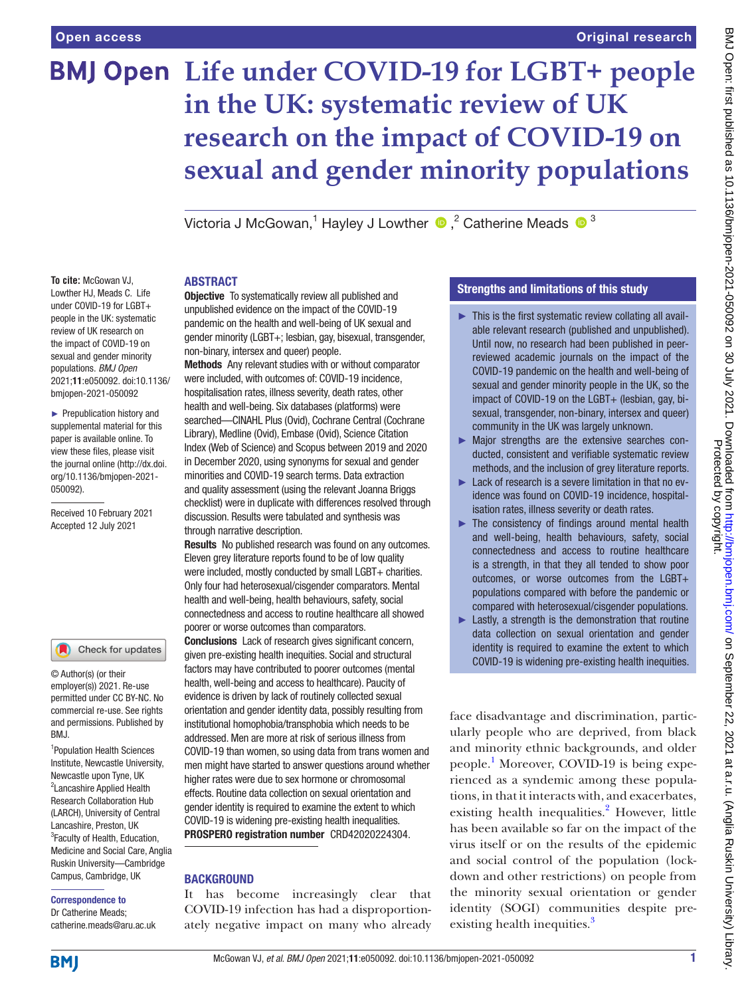# **BMJ Open** Life under COVID-19 for LGBT+ people **in the UK: systematic review of UK research on the impact of COVID-19 on sexual and gender minority populations**

VictoriaJ McGowan,<sup>1</sup> Hayley J Lowther  $\bigcirc$  ,<sup>2</sup> Catherine Meads  $\bigcirc$  <sup>3</sup>

#### ABSTRACT

**To cite:** McGowan VJ, Lowther HJ, Meads C. Life under COVID-19 for LGBT+ people in the UK: systematic review of UK research on the impact of COVID-19 on sexual and gender minority populations. *BMJ Open* 2021;11:e050092. doi:10.1136/ bmjopen-2021-050092

► Prepublication history and supplemental material for this paper is available online. To view these files, please visit the journal online [\(http://dx.doi.](http://dx.doi.org/10.1136/bmjopen-2021-050092) [org/10.1136/bmjopen-2021-](http://dx.doi.org/10.1136/bmjopen-2021-050092) [050092\)](http://dx.doi.org/10.1136/bmjopen-2021-050092).

Received 10 February 2021 Accepted 12 July 2021

#### Check for updates

© Author(s) (or their employer(s)) 2021. Re-use permitted under CC BY-NC. No commercial re-use. See rights and permissions. Published by BMJ.

1 Population Health Sciences Institute, Newcastle University, Newcastle upon Tyne, UK <sup>2</sup> Lancashire Applied Health Research Collaboration Hub (LARCH), University of Central Lancashire, Preston, UK <sup>3</sup> Faculty of Health, Education, Medicine and Social Care, Anglia Ruskin University—Cambridge Campus, Cambridge, UK

#### Correspondence to

Dr Catherine Meads; catherine.meads@aru.ac.uk **Objective** To systematically review all published and unpublished evidence on the impact of the COVID-19 pandemic on the health and well-being of UK sexual and gender minority (LGBT+; lesbian, gay, bisexual, transgender, non-binary, intersex and queer) people.

Methods Any relevant studies with or without comparator were included, with outcomes of: COVID-19 incidence, hospitalisation rates, illness severity, death rates, other health and well-being. Six databases (platforms) were searched—CINAHL Plus (Ovid), Cochrane Central (Cochrane Library), Medline (Ovid), Embase (Ovid), Science Citation Index (Web of Science) and Scopus between 2019 and 2020 in December 2020, using synonyms for sexual and gender minorities and COVID-19 search terms. Data extraction and quality assessment (using the relevant Joanna Briggs checklist) were in duplicate with differences resolved through discussion. Results were tabulated and synthesis was through narrative description.

Results No published research was found on any outcomes. Eleven grey literature reports found to be of low quality were included, mostly conducted by small LGBT+ charities. Only four had heterosexual/cisgender comparators. Mental health and well-being, health behaviours, safety, social connectedness and access to routine healthcare all showed poorer or worse outcomes than comparators.

Conclusions Lack of research gives significant concern, given pre-existing health inequities. Social and structural factors may have contributed to poorer outcomes (mental health, well-being and access to healthcare). Paucity of evidence is driven by lack of routinely collected sexual orientation and gender identity data, possibly resulting from institutional homophobia/transphobia which needs to be addressed. Men are more at risk of serious illness from COVID-19 than women, so using data from trans women and men might have started to answer questions around whether higher rates were due to sex hormone or chromosomal effects. Routine data collection on sexual orientation and gender identity is required to examine the extent to which COVID-19 is widening pre-existing health inequalities. PROSPERO registration number CRD42020224304.

#### **BACKGROUND**

It has become increasingly clear that COVID-19 infection has had a disproportionately negative impact on many who already

### Strengths and limitations of this study

- $\blacktriangleright$  This is the first systematic review collating all available relevant research (published and unpublished). Until now, no research had been published in peerreviewed academic journals on the impact of the COVID-19 pandemic on the health and well-being of sexual and gender minority people in the UK, so the impact of COVID-19 on the LGBT+ (lesbian, gay, bisexual, transgender, non-binary, intersex and queer) community in the UK was largely unknown.
- ► Major strengths are the extensive searches conducted, consistent and verifiable systematic review methods, and the inclusion of grey literature reports.
- ► Lack of research is a severe limitation in that no evidence was found on COVID-19 incidence, hospitalisation rates, illness severity or death rates.
- ► The consistency of findings around mental health and well-being, health behaviours, safety, social connectedness and access to routine healthcare is a strength, in that they all tended to show poor outcomes, or worse outcomes from the LGBT+ populations compared with before the pandemic or compared with heterosexual/cisgender populations.
- $\blacktriangleright$  Lastly, a strength is the demonstration that routine data collection on sexual orientation and gender identity is required to examine the extent to which COVID-19 is widening pre-existing health inequities.

face disadvantage and discrimination, particularly people who are deprived, from black and minority ethnic backgrounds, and older people.<sup>[1](#page-10-0)</sup> Moreover, COVID-19 is being experienced as a syndemic among these populations, in that it interacts with, and exacerbates, existing health inequalities.<sup>[2](#page-10-1)</sup> However, little has been available so far on the impact of the virus itself or on the results of the epidemic and social control of the population (lockdown and other restrictions) on people from the minority sexual orientation or gender identity (SOGI) communities despite pre-existing health inequities.<sup>[3](#page-10-2)</sup>

**BMI**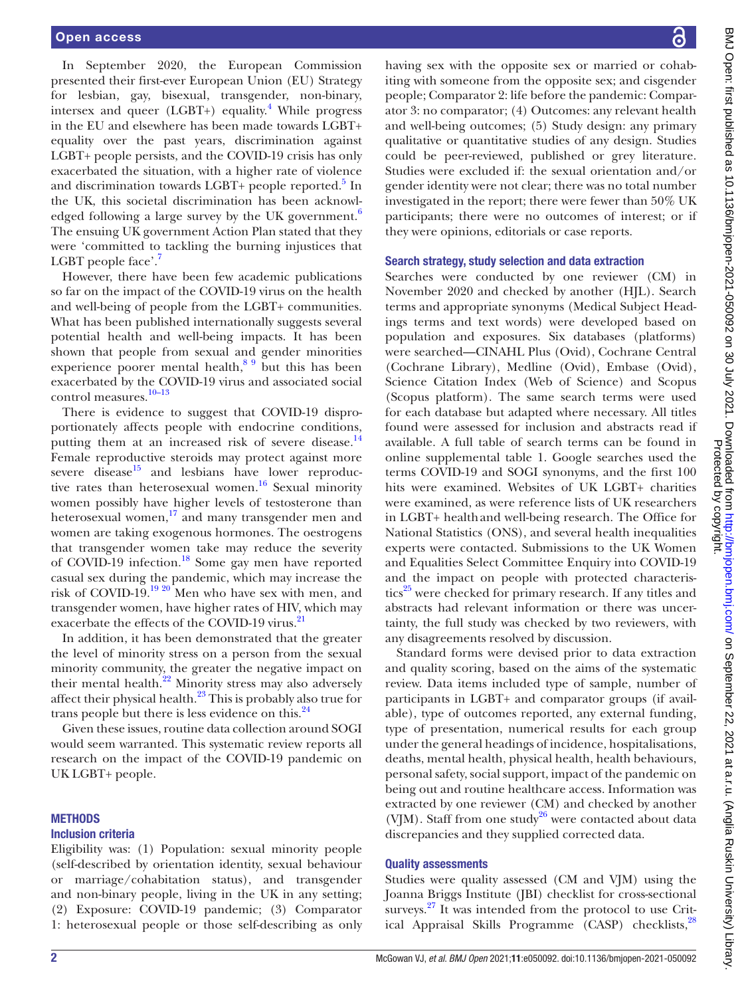In September 2020, the European Commission presented their first-ever European Union (EU) Strategy for lesbian, gay, bisexual, transgender, non-binary, intersex and queer (LGBT+) equality.<sup>[4](#page-10-3)</sup> While progress in the EU and elsewhere has been made towards LGBT+ equality over the past years, discrimination against LGBT+ people persists, and the COVID-19 crisis has only exacerbated the situation, with a higher rate of violence and discrimination towards LGBT+ people reported.<sup>5</sup> In the UK, this societal discrimination has been acknowl-edged following a large survey by the UK government.<sup>[6](#page-10-5)</sup> The ensuing UK government Action Plan stated that they were 'committed to tackling the burning injustices that LGBT people face'.<sup>[7](#page-10-6)</sup>

However, there have been few academic publications so far on the impact of the COVID-19 virus on the health and well-being of people from the LGBT+ communities. What has been published internationally suggests several potential health and well-being impacts. It has been shown that people from sexual and gender minorities experience poorer mental health, $8<sup>9</sup>$  but this has been exacerbated by the COVID-19 virus and associated social control measures.<sup>10-13</sup>

There is evidence to suggest that COVID-19 disproportionately affects people with endocrine conditions, putting them at an increased risk of severe disease.<sup>14</sup> Female reproductive steroids may protect against more severe disease $15$  and lesbians have lower reproductive rates than heterosexual women.<sup>16</sup> Sexual minority women possibly have higher levels of testosterone than heterosexual women, $17$  and many transgender men and women are taking exogenous hormones. The oestrogens that transgender women take may reduce the severity of COVID-19 infection.<sup>[18](#page-10-13)</sup> Some gay men have reported casual sex during the pandemic, which may increase the risk of COVID-19.<sup>19 20</sup> Men who have sex with men, and transgender women, have higher rates of HIV, which may exacerbate the effects of the COVID-19 virus.<sup>21</sup>

In addition, it has been demonstrated that the greater the level of minority stress on a person from the sexual minority community, the greater the negative impact on their mental health.<sup>[22](#page-11-1)</sup> Minority stress may also adversely affect their physical health.<sup>23</sup> This is probably also true for trans people but there is less evidence on this.<sup>[24](#page-11-3)</sup>

Given these issues, routine data collection around SOGI would seem warranted. This systematic review reports all research on the impact of the COVID-19 pandemic on UK LGBT+ people.

#### **METHODS**

#### Inclusion criteria

Eligibility was: (1) Population: sexual minority people (self-described by orientation identity, sexual behaviour or marriage/cohabitation status), and transgender and non-binary people, living in the UK in any setting; (2) Exposure: COVID-19 pandemic; (3) Comparator 1: heterosexual people or those self-describing as only

having sex with the opposite sex or married or cohabiting with someone from the opposite sex; and cisgender people; Comparator 2: life before the pandemic: Comparator 3: no comparator; (4) Outcomes: any relevant health and well-being outcomes; (5) Study design: any primary qualitative or quantitative studies of any design. Studies could be peer-reviewed, published or grey literature. Studies were excluded if: the sexual orientation and/or gender identity were not clear; there was no total number investigated in the report; there were fewer than 50% UK participants; there were no outcomes of interest; or if they were opinions, editorials or case reports.

#### Search strategy, study selection and data extraction

Searches were conducted by one reviewer (CM) in November 2020 and checked by another (HJL). Search terms and appropriate synonyms (Medical Subject Headings terms and text words) were developed based on population and exposures. Six databases (platforms) were searched—CINAHL Plus (Ovid), Cochrane Central (Cochrane Library), Medline (Ovid), Embase (Ovid), Science Citation Index (Web of Science) and Scopus (Scopus platform). The same search terms were used for each database but adapted where necessary. All titles found were assessed for inclusion and abstracts read if available. A full table of search terms can be found in [online supplemental table 1](https://dx.doi.org/10.1136/bmjopen-2021-050092). Google searches used the terms COVID-19 and SOGI synonyms, and the first 100 hits were examined. Websites of UK LGBT+ charities were examined, as were reference lists of UK researchers in LGBT+ healthand well-being research. The Office for National Statistics (ONS), and several health inequalities experts were contacted. Submissions to the UK Women and Equalities Select Committee Enquiry into COVID-19 and the impact on people with protected characteristics<sup>25</sup> were checked for primary research. If any titles and abstracts had relevant information or there was uncertainty, the full study was checked by two reviewers, with any disagreements resolved by discussion.

Standard forms were devised prior to data extraction and quality scoring, based on the aims of the systematic review. Data items included type of sample, number of participants in LGBT+ and comparator groups (if available), type of outcomes reported, any external funding, type of presentation, numerical results for each group under the general headings of incidence, hospitalisations, deaths, mental health, physical health, health behaviours, personal safety, social support, impact of the pandemic on being out and routine healthcare access. Information was extracted by one reviewer (CM) and checked by another (VJM). Staff from one study<sup>26</sup> were contacted about data discrepancies and they supplied corrected data.

#### Quality assessments

Studies were quality assessed (CM and VJM) using the Joanna Briggs Institute (JBI) checklist for cross-sectional surveys. $27$  It was intended from the protocol to use Crit-ical Appraisal Skills Programme (CASP) checklists, <sup>[28](#page-11-7)</sup>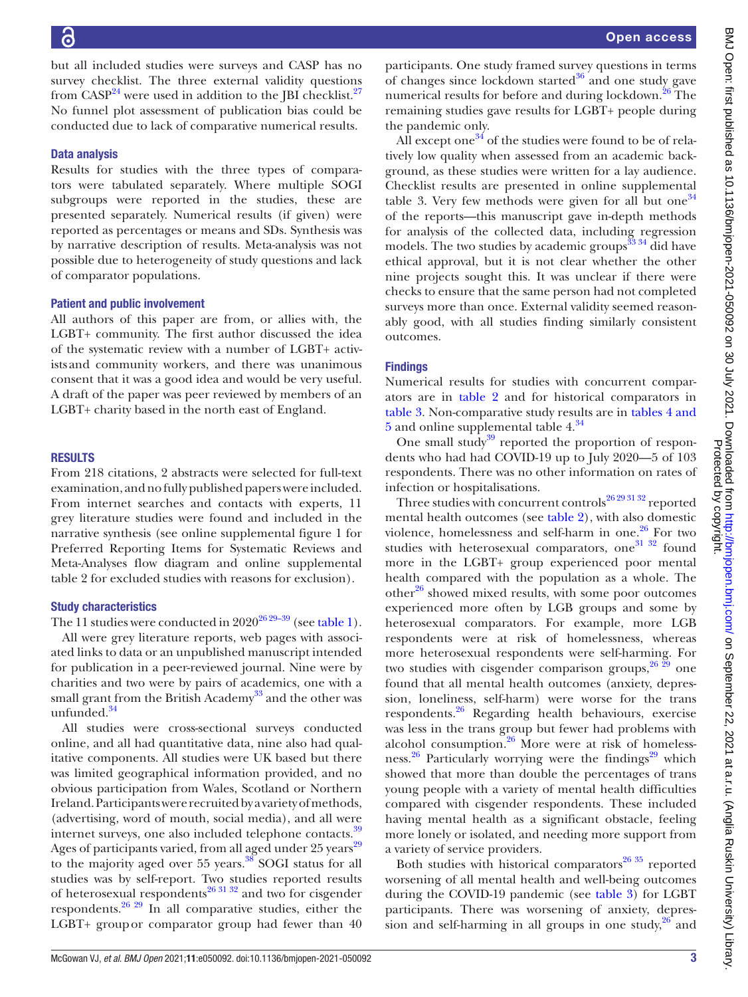but all included studies were surveys and CASP has no survey checklist. The three external validity questions from  $CASP^{24}$  $CASP^{24}$  $CASP^{24}$  were used in addition to the JBI checklist.<sup>27</sup> No funnel plot assessment of publication bias could be conducted due to lack of comparative numerical results.

#### Data analysis

Results for studies with the three types of comparators were tabulated separately. Where multiple SOGI subgroups were reported in the studies, these are presented separately. Numerical results (if given) were reported as percentages or means and SDs. Synthesis was by narrative description of results. Meta-analysis was not possible due to heterogeneity of study questions and lack of comparator populations.

#### Patient and public involvement

All authors of this paper are from, or allies with, the LGBT+ community. The first author discussed the idea of the systematic review with a number of LGBT+ activists and community workers, and there was unanimous consent that it was a good idea and would be very useful. A draft of the paper was peer reviewed by members of an LGBT+ charity based in the north east of England.

#### RESULTS

From 218 citations, 2 abstracts were selected for full-text examination, and no fully published papers were included. From internet searches and contacts with experts, 11 grey literature studies were found and included in the narrative synthesis (see [online supplemental figure 1](https://dx.doi.org/10.1136/bmjopen-2021-050092) for Preferred Reporting Items for Systematic Reviews and Meta-Analyses flow diagram and [online supplemental](https://dx.doi.org/10.1136/bmjopen-2021-050092) [table 2](https://dx.doi.org/10.1136/bmjopen-2021-050092) for excluded studies with reasons for exclusion).

#### Study characteristics

The 11 studies were conducted in  $2020^{26\cdot29-39}$  (see [table](#page-3-0) 1).

All were grey literature reports, web pages with associated links to data or an unpublished manuscript intended for publication in a peer-reviewed journal. Nine were by charities and two were by pairs of academics, one with a small grant from the British Academy<sup>[33](#page-11-8)</sup> and the other was unfunded.<sup>34</sup>

All studies were cross-sectional surveys conducted online, and all had quantitative data, nine also had qualitative components. All studies were UK based but there was limited geographical information provided, and no obvious participation from Wales, Scotland or Northern Ireland. Participants were recruited by a variety of methods, (advertising, word of mouth, social media), and all were internet surveys, one also included telephone contacts.<sup>[39](#page-11-10)</sup> Ages of participants varied, from all aged under 25 years<sup>[29](#page-11-11)</sup> to the majority aged over 55 years.<sup>38</sup> SOGI status for all studies was by self-report. Two studies reported results of heterosexual respondents<sup>26 31 32</sup> and two for cisgender respondents.[26 29](#page-11-5) In all comparative studies, either the LGBT+ group or comparator group had fewer than 40

participants. One study framed survey questions in terms of changes since lockdown started $36$  and one study gave numerical results for before and during lockdown.<sup>[26](#page-11-5)</sup> The remaining studies gave results for LGBT+ people during the pandemic only.

All except one<sup>[34](#page-11-9)</sup> of the studies were found to be of relatively low quality when assessed from an academic background, as these studies were written for a lay audience. Checklist results are presented in [online supplemental](https://dx.doi.org/10.1136/bmjopen-2021-050092)  [table 3.](https://dx.doi.org/10.1136/bmjopen-2021-050092) Very few methods were given for all but one<sup>[34](#page-11-9)</sup> of the reports—this manuscript gave in-depth methods for analysis of the collected data, including regression models. The two studies by academic groups $^{\frac{33}{33}34}$  did have ethical approval, but it is not clear whether the other nine projects sought this. It was unclear if there were checks to ensure that the same person had not completed surveys more than once. External validity seemed reasonably good, with all studies finding similarly consistent outcomes.

#### **Findings**

Numerical results for studies with concurrent comparators are in [table](#page-6-0) 2 and for historical comparators in [table](#page-7-0) 3. Non-comparative study results are in [tables](#page-8-0) 4 and [5](#page-8-0) and [online supplemental table 4.](https://dx.doi.org/10.1136/bmjopen-2021-050092)[34](#page-11-9)

One small study $39$  reported the proportion of respondents who had had COVID-19 up to July 2020—5 of 103 respondents. There was no other information on rates of infection or hospitalisations.

Three studies with concurrent controls<sup>[26 29 31 32](#page-11-5)</sup> reported mental health outcomes (see [table](#page-6-0) 2), with also domestic violence, homelessness and self-harm in one.<sup>[26](#page-11-5)</sup> For two studies with heterosexual comparators, one<sup>[31 32](#page-11-14)</sup> found more in the LGBT+ group experienced poor mental health compared with the population as a whole. The  $other<sup>26</sup> showed mixed results, with some poor outcomes$ experienced more often by LGB groups and some by heterosexual comparators. For example, more LGB respondents were at risk of homelessness, whereas more heterosexual respondents were self-harming. For two studies with cisgender comparison groups,  $26\frac{29}{29}$  one found that all mental health outcomes (anxiety, depression, loneliness, self-harm) were worse for the trans respondents[.26](#page-11-5) Regarding health behaviours, exercise was less in the trans group but fewer had problems with alcohol consumption.<sup>[26](#page-11-5)</sup> More were at risk of homelessness.<sup>26</sup> Particularly worrying were the findings<sup>29</sup> which showed that more than double the percentages of trans young people with a variety of mental health difficulties compared with cisgender respondents. These included having mental health as a significant obstacle, feeling more lonely or isolated, and needing more support from a variety of service providers.

Both studies with historical comparators<sup>[26 35](#page-11-5)</sup> reported worsening of all mental health and well-being outcomes during the COVID-19 pandemic (see [table](#page-7-0) 3) for LGBT participants. There was worsening of anxiety, depression and self-harming in all groups in one study, $26$  and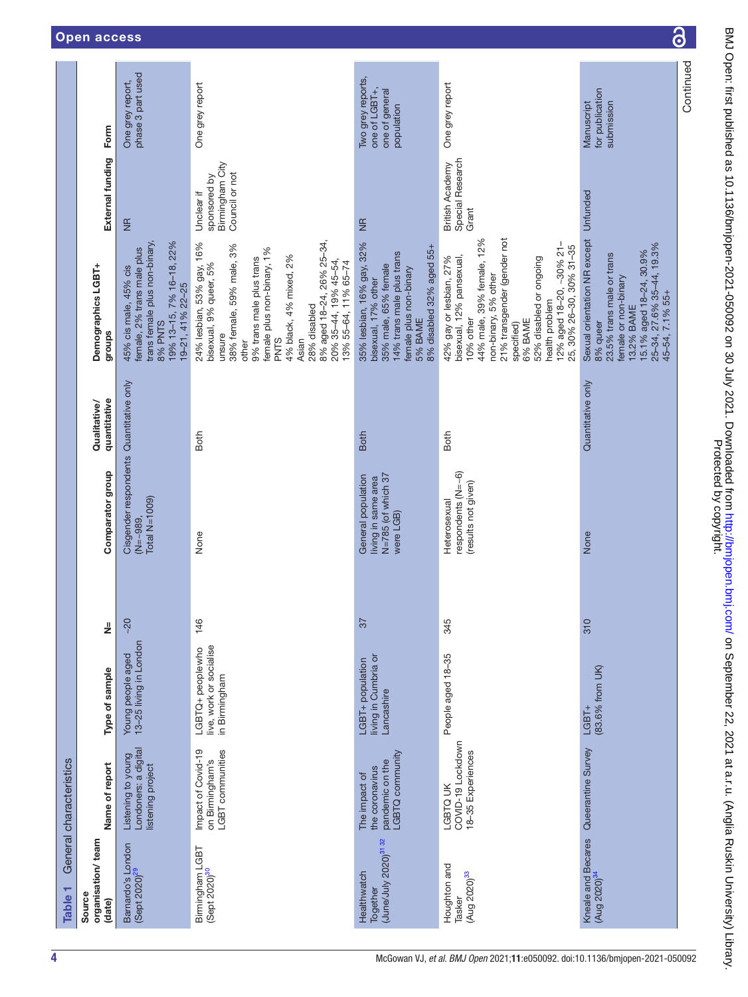<span id="page-3-0"></span>

|                         |                                       |                                                                                                                                                 |                                                                                                                                                                                                                                                                                                              |                                                                                                                                                                        |                                                                                                                                                                                                                                                                                    | ಀ                                                                                                                                                                                                  |
|-------------------------|---------------------------------------|-------------------------------------------------------------------------------------------------------------------------------------------------|--------------------------------------------------------------------------------------------------------------------------------------------------------------------------------------------------------------------------------------------------------------------------------------------------------------|------------------------------------------------------------------------------------------------------------------------------------------------------------------------|------------------------------------------------------------------------------------------------------------------------------------------------------------------------------------------------------------------------------------------------------------------------------------|----------------------------------------------------------------------------------------------------------------------------------------------------------------------------------------------------|
|                         | Form                                  | phase 3 part used<br>One grey report,                                                                                                           | One grey report                                                                                                                                                                                                                                                                                              | Two grey reports,<br>one of LGBT+,<br>one of general<br>population                                                                                                     | One grey report                                                                                                                                                                                                                                                                    | for publication<br>submission<br>Manuscript                                                                                                                                                        |
|                         | External funding                      | $\frac{R}{Z}$                                                                                                                                   | Birmingham City<br>Council or not<br>sponsored by<br>Unclear if                                                                                                                                                                                                                                              | $\frac{1}{2}$                                                                                                                                                          | Special Research<br>British Academy<br>Grant                                                                                                                                                                                                                                       |                                                                                                                                                                                                    |
|                         | Demographics LGBT+<br>groups          | trans female plus non-binary,<br>19% 13-15, 7% 16-18, 22%<br>female, 2% trans male plus<br>45% cis male, 45% cis<br>19-21, 41% 22-25<br>8% PNTS | 8% aged 18-24, 26% 25-34,<br>24% lesbian, 53% gay, 16%<br>38% female, 59% male, 3%<br>female plus non-binary, 1%<br>4% black, 4% mixed, 2%<br>9% trans male plus trans<br>20% 35-44, 19% 45-54,<br>13% 55-64, 11% 65-74<br>bisexual, 9% queer, 5%<br>28% disabled<br>unsure<br><b>PNTS</b><br>Asian<br>other | 35% lesbian, 16% gay, 32%<br>8% disabled 32% aged 55+<br>14% trans male plus trans<br>35% male, 65% female<br>female plus non-binary<br>bisexual, 17% other<br>5% BAME | 21% transgender (gender not<br>44% male, 39% female, 12%<br>12% aged 18-20, ~30% 21-<br>25, 30% 26-30, 30% 31-35<br>bisexual, 12% pansexual,<br>42% gay or lesbian, 27%<br>52% disabled or ongoing<br>non-binary, 5% other<br>health problem<br>10% other<br>6% BAME<br>specified) | Sexual orientation NR except Unfunded<br>25-34, 27.6% 35-44, 19.3%<br>15.1% aged 18-24, 30.9%<br>23.5% trans male or trans<br>female or non-binary<br>7.1% 55+<br>13.2% BAME<br>8% queer<br>45-54, |
|                         | quantitative<br>Qualitative/          |                                                                                                                                                 | <b>Both</b>                                                                                                                                                                                                                                                                                                  | <b>Both</b>                                                                                                                                                            | <b>Both</b>                                                                                                                                                                                                                                                                        | Quantitative only                                                                                                                                                                                  |
|                         | Comparator group                      | Cisgender respondents Quantitative only<br>Total N=1009)<br>$(N = 989,$                                                                         | None                                                                                                                                                                                                                                                                                                         | General population<br>N=785 (of which 37<br>living in same area<br>were LGB)                                                                                           | respondents (N=~6)<br>(results not given)<br>Heterosexual                                                                                                                                                                                                                          | None                                                                                                                                                                                               |
|                         | ار<br>Z                               | <u>ನ</u>                                                                                                                                        | 146                                                                                                                                                                                                                                                                                                          | 57                                                                                                                                                                     | 345                                                                                                                                                                                                                                                                                | 310                                                                                                                                                                                                |
|                         | Type of sample                        | Young people aged<br>13-25 living in London                                                                                                     | live, work or socialise<br>LGBTQ+peoplewho<br>in Birmingham                                                                                                                                                                                                                                                  | living in Cumbria or<br>LGBT+ population<br>Lancashire                                                                                                                 | People aged 18-35                                                                                                                                                                                                                                                                  | (83.6% from UK)<br>$LGET+$                                                                                                                                                                         |
| General characteristics | Name of report                        | Londoners: a digital<br>Listening to young<br>listening project                                                                                 | LGBT communities<br>Impact of Covid-19<br>on Birmingham's                                                                                                                                                                                                                                                    | LGBTQ community<br>pandemic on the<br>the coronavirus<br>The impact of                                                                                                 | COVID-19 Lockdown<br>18-35 Experiences<br><b>LGBTQ UK</b>                                                                                                                                                                                                                          |                                                                                                                                                                                                    |
| Table 1                 | organisation/team<br>Source<br>(date) | Barnardo's London<br>(Sept 2020) <sup>29</sup>                                                                                                  | Birmingham LGBT<br>(Sept 2020) <sup>30</sup>                                                                                                                                                                                                                                                                 | (June/July 2020) <sup>3132</sup><br>Healthwatch<br>Together                                                                                                            | Houghton and<br>(Aug 2020) <sup>33</sup><br>Tasker                                                                                                                                                                                                                                 | Kneale and Becares Queerantine Survey<br>(Aug 2020) <sup>34</sup>                                                                                                                                  |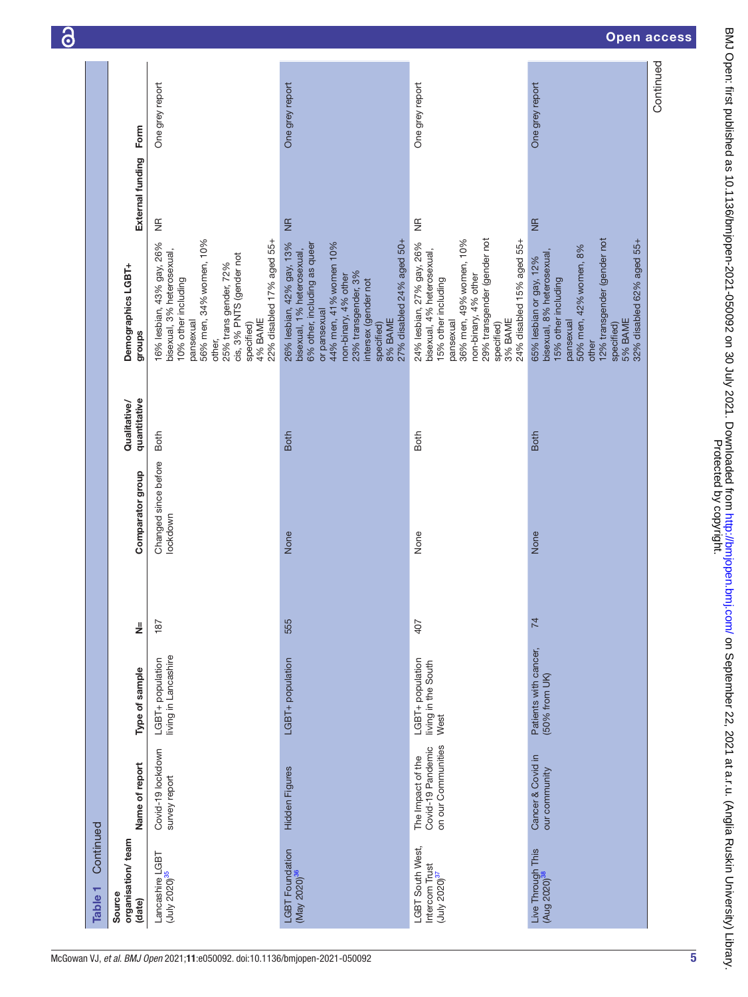| Continued<br>Table <sub>1</sub>                                |                                                              |                                                 |                 |                                  |                              |                                                                                                                                                                                                                                                                   |                                 |                 |
|----------------------------------------------------------------|--------------------------------------------------------------|-------------------------------------------------|-----------------|----------------------------------|------------------------------|-------------------------------------------------------------------------------------------------------------------------------------------------------------------------------------------------------------------------------------------------------------------|---------------------------------|-----------------|
| organisation/team<br>Source<br>(date)                          | Name of report                                               | Type of sample                                  | ٣               | Comparator group                 | quantitative<br>Qualitative/ | Demographics LGBT+<br>groups                                                                                                                                                                                                                                      | External funding                | Form            |
| Lancashire LGBT<br>(July 2020) <sup>35</sup>                   | Covid-19 lockdown<br>survey report                           | living in Lancashire<br>LGBT+ population        | 187             | Changed since before<br>lockdown | Both                         | 56% men, 34% women, 10%<br>22% disabled 17% aged 55+<br>16% lesbian, 43% gay, 26%<br>bisexual, 3% heterosexual,<br>cis, 3% PNTS (gender not<br>25% trans gender, 72%<br>10% other including<br>4% BAME<br>pansexual<br>specified)<br>other,                       | $\frac{\mathbb{E}}{\mathbb{E}}$ | One grey report |
| <b>LGBT</b> Foundation<br>(May 2020) <sup>36</sup>             | <b>Hidden Figures</b>                                        | LGBT+ population                                | 555             | None                             | <b>Both</b>                  | $27\%$ disabled 24% aged 50+<br>44% men, 41% women 10%<br>26% lesbian, 42% gay, 13%<br>6% other, including as queer<br>bisexual, 1% heterosexual,<br>23% transgender, 3%<br>non-binary, 4% other<br>intersex (gender not<br>or pansexual<br>8% BAME<br>specified) | $\overline{B}$                  | One grey report |
| LGBT South West,<br>Intercom Trust<br>Uuly 2020) <sup>37</sup> | on our Communities<br>Covid-19 Pandemic<br>The Impact of the | LGBT+ population<br>living in the South<br>West | 407             | None                             | Both                         | 29% transgender (gender not<br>36% men, 49% women, 10%<br>24% disabled 15% aged 55+<br>24% lesbian, 27% gay, 26%<br>bisexual, 4% heterosexual,<br>non-binary, 4% other<br>15% other including<br>3% BAME<br>pansexual<br>specified)                               | $\frac{\pi}{2}$                 | One grey report |
| Live Through This<br>(Aug 2020) <sup>38</sup>                  | Cancer & Covid in<br>our community                           | Patients with cancer,<br>(50% from UK)          | $\overline{74}$ | None                             | <b>Both</b>                  | 12% transgender (gender not<br>32% disabled 62% aged 55+<br>50% men, 42% women, 8%<br>bisexual, 8% heterosexual,<br>65% lesbian or gay, 12%<br>15% other including<br>5% BAME<br>pansexual<br>specified)<br>other                                                 | $rac{\pi}{2}$                   | One grey report |
|                                                                |                                                              |                                                 |                 |                                  |                              |                                                                                                                                                                                                                                                                   |                                 | Continued       |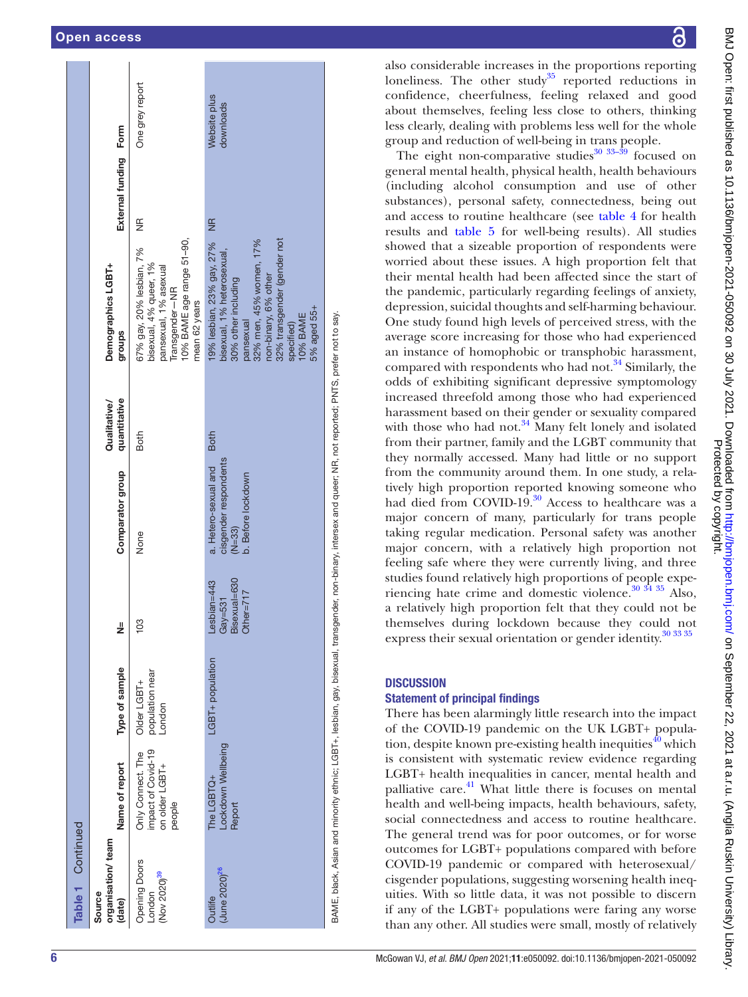| Table 1 Continued                                          |                                                                    |                                          |                                                         |                                                                                                                                                                |                              |                                                                                                                                                                                                                               |                       |                           |
|------------------------------------------------------------|--------------------------------------------------------------------|------------------------------------------|---------------------------------------------------------|----------------------------------------------------------------------------------------------------------------------------------------------------------------|------------------------------|-------------------------------------------------------------------------------------------------------------------------------------------------------------------------------------------------------------------------------|-----------------------|---------------------------|
| organisation/team<br>Source<br>(date)                      | Name of report                                                     | Type of sample                           | ار<br>N                                                 | Comparator group                                                                                                                                               | quantitative<br>Qualitative/ | Demographics LGBT+<br>groups                                                                                                                                                                                                  | External funding Form |                           |
| <b>Opening Doors</b><br>(Nov 2020) <sup>39</sup><br>London | mpact of Covid-19<br>Only Connect. The<br>on older LGBT+<br>people | population near<br>Older LGBT+<br>London | 103                                                     | None                                                                                                                                                           | <b>Both</b>                  | 10% BAME age range 51-90,<br>67% gay, 20% lesbian, 7%<br>bisexual, 4% queer, 1%<br>pansexual, 1% asexual<br>Transgender-NR<br>mean 62 years                                                                                   | $\frac{\alpha}{2}$    | One grey report           |
| Uune 2020) <sup>26</sup><br><b>Outlife</b>                 | Lockdown Wellbeing<br>The LGBTQ+<br>Report                         | LGBT+ population                         | Bisexual=630<br>Other=717<br>Lesbian=443<br>$Gay = 531$ | cisgender respondents<br>a. Hetero-sexual and<br>b. Before lockdown<br>$(N=33)$                                                                                | <b>Both</b>                  | 32% transgender (gender not<br>32% men, 45% women, 17%<br>19% lesbian, 23% gay, 27%<br>bisexual, 1% heterosexual,<br>non-binary, 6% other<br>30% other including<br>5% aged 55+<br><b>10% BAME</b><br>pansexual<br>specified) | $rac{\pi}{2}$         | Website plus<br>downloads |
|                                                            |                                                                    |                                          |                                                         | BAME, black, Asian and minority ethnic; LGBT+, lesbian, gay, bisexual, transgender, non-binary, intersex and queer; NR, not reported; PNTS, prefer not to say. |                              |                                                                                                                                                                                                                               |                       |                           |

also considerable increases in the proportions reporting loneliness. The other study $35$  reported reductions in confidence, cheerfulness, feeling relaxed and good about themselves, feeling less close to others, thinking less clearly, dealing with problems less well for the whole group and reduction of well-being in trans people.

The eight non-comparative studies $30\,33-39$  focused on general mental health, physical health, health behaviours (including alcohol consumption and use of other substances), personal safety, connectedness, being out and access to routine healthcare (see [table](#page-8-0) 4 for health results and [table](#page-9-0) 5 for well-being results). All studies showed that a sizeable proportion of respondents were worried about these issues. A high proportion felt that their mental health had been affected since the start of the pandemic, particularly regarding feelings of anxiety, depression, suicidal thoughts and self-harming behaviour. One study found high levels of perceived stress, with the average score increasing for those who had experienced an instance of homophobic or transphobic harassment, compared with respondents who had not. $34$  Similarly, the odds of exhibiting significant depressive symptomology increased threefold among those who had experienced harassment based on their gender or sexuality compared with those who had not. $34$  Many felt lonely and isolated from their partner, family and the LGBT community that they normally accessed. Many had little or no support from the community around them. In one study, a relatively high proportion reported knowing someone who had died from COVID-19.<sup>[30](#page-11-15)</sup> Access to healthcare was a major concern of many, particularly for trans people taking regular medication. Personal safety was another major concern, with a relatively high proportion not feeling safe where they were currently living, and three studies found relatively high proportions of people experiencing hate crime and domestic violence.<sup>30 34</sup> <sup>35</sup> Also, a relatively high proportion felt that they could not be themselves during lockdown because they could not express their sexual orientation or gender identity.<sup>30</sup> 33 35

## **DISCUSSION**

# Statement of principal findings

There has been alarmingly little research into the impact of the COVID-19 pandemic on the UK LGBT+ population, despite known pre-existing health inequities<sup>40</sup> which is consistent with systematic review evidence regarding LGBT+ health inequalities in cancer, mental health and palliative care. $41$  What little there is focuses on mental health and well-being impacts, health behaviours, safety, social connectedness and access to routine healthcare. The general trend was for poor outcomes, or for worse outcomes for LGBT+ populations compared with before COVID-19 pandemic or compared with heterosexual/ cisgender populations, suggesting worsening health inequities. With so little data, it was not possible to discern if any of the LGBT+ populations were faring any worse than any other. All studies were small, mostly of relatively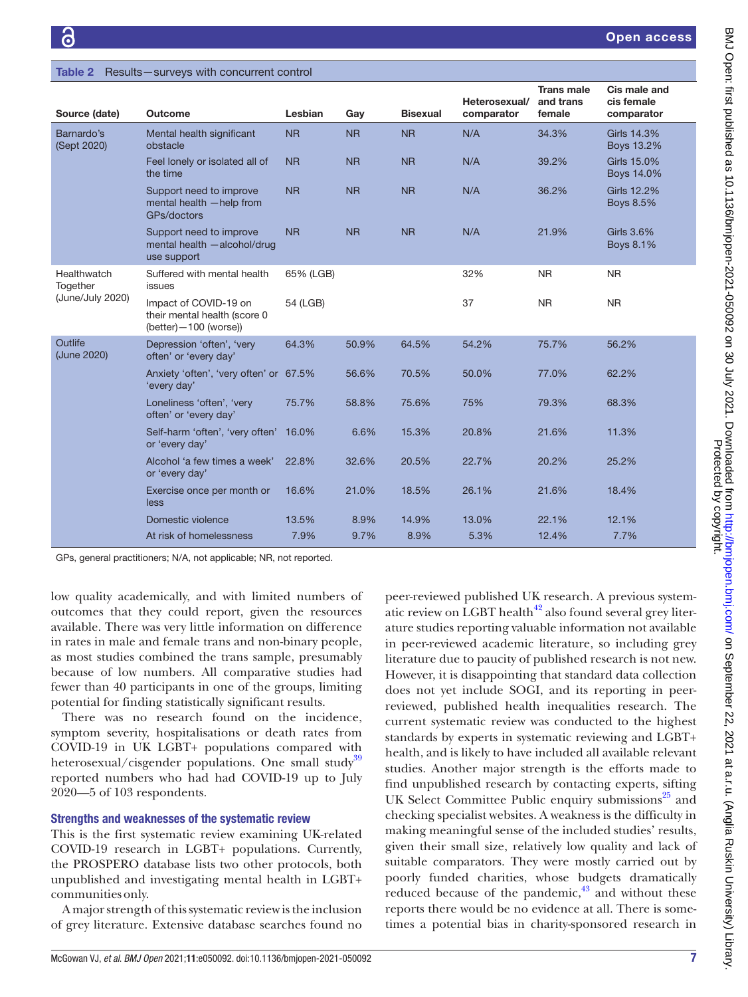<span id="page-6-0"></span>

| Source (date)             | <b>Outcome</b>                                                                     | Lesbian                                                                                                                             | Gay       | <b>Bisexual</b>                                                                                                                                                                                                                     | Heterosexual/<br>comparator | <b>Trans male</b><br>and trans<br>female | Cis male and<br>cis female<br>comparator |
|---------------------------|------------------------------------------------------------------------------------|-------------------------------------------------------------------------------------------------------------------------------------|-----------|-------------------------------------------------------------------------------------------------------------------------------------------------------------------------------------------------------------------------------------|-----------------------------|------------------------------------------|------------------------------------------|
| Barnardo's<br>(Sept 2020) | Mental health significant<br>obstacle                                              | <b>NR</b>                                                                                                                           | <b>NR</b> | <b>NR</b>                                                                                                                                                                                                                           | N/A                         | 34.3%                                    | Girls 14.3%<br>Boys 13.2%                |
|                           | Feel lonely or isolated all of<br>the time                                         | <b>NR</b>                                                                                                                           | <b>NR</b> | <b>NR</b>                                                                                                                                                                                                                           | N/A                         | 39.2%                                    | Girls 15.0%<br>Boys 14.0%                |
|                           | Support need to improve<br>mental health -help from<br>GPs/doctors                 | <b>NR</b>                                                                                                                           | <b>NR</b> | <b>NR</b>                                                                                                                                                                                                                           | N/A                         | 36.2%                                    | <b>Girls 12.2%</b><br><b>Boys 8.5%</b>   |
|                           | Support need to improve<br>mental health -alcohol/drug<br>use support              | <b>NR</b><br><b>NR</b><br><b>NR</b><br>N/A<br>21.9%<br>Girls 3.6%<br><b>Boys 8.1%</b><br>32%<br><b>NR</b><br><b>NR</b><br>65% (LGB) |           |                                                                                                                                                                                                                                     |                             |                                          |                                          |
| Healthwatch<br>Together   | Suffered with mental health<br>issues                                              |                                                                                                                                     |           |                                                                                                                                                                                                                                     |                             |                                          |                                          |
| (June/July 2020)          | Impact of COVID-19 on<br>their mental health (score 0<br>$(better) - 100$ (worse)) | 54 (LGB)                                                                                                                            |           | <b>NR</b><br>37<br>64.5%<br>54.2%<br>75.7%<br>70.5%<br>50.0%<br>77.0%<br>75.6%<br>75%<br>79.3%<br>15.3%<br>20.8%<br>21.6%<br>20.5%<br>22.7%<br>20.2%<br>18.5%<br>26.1%<br>21.6%<br>14.9%<br>13.0%<br>22.1%<br>8.9%<br>5.3%<br>12.4% |                             | <b>NR</b>                                |                                          |
| Outlife<br>(June 2020)    | Depression 'often', 'very<br>often' or 'every day'                                 | 50.9%<br>64.3%<br>56.6%<br>75.7%<br>58.8%<br>6.6%<br>22.8%<br>32.6%<br>16.6%<br>21.0%<br>13.5%<br>8.9%<br>7.9%<br>9.7%              |           | 56.2%                                                                                                                                                                                                                               |                             |                                          |                                          |
|                           | Anxiety 'often', 'very often' or 67.5%<br>'every day'                              |                                                                                                                                     | 62.2%     |                                                                                                                                                                                                                                     |                             |                                          |                                          |
|                           | Loneliness 'often', 'very<br>often' or 'every day'                                 |                                                                                                                                     |           |                                                                                                                                                                                                                                     |                             |                                          | 68.3%                                    |
|                           | Self-harm 'often', 'very often' 16.0%<br>or 'every day'                            |                                                                                                                                     |           |                                                                                                                                                                                                                                     |                             |                                          | 11.3%                                    |
|                           | Alcohol 'a few times a week'<br>or 'every day'                                     |                                                                                                                                     |           |                                                                                                                                                                                                                                     |                             |                                          | 25.2%                                    |
|                           | Exercise once per month or<br>less                                                 |                                                                                                                                     |           |                                                                                                                                                                                                                                     |                             |                                          | 18.4%                                    |
|                           | Domestic violence                                                                  |                                                                                                                                     |           |                                                                                                                                                                                                                                     |                             |                                          | 12.1%                                    |
|                           | At risk of homelessness                                                            |                                                                                                                                     |           |                                                                                                                                                                                                                                     |                             |                                          | 7.7%                                     |

GPs, general practitioners; N/A, not applicable; NR, not reported.

Results—surveys with concurrent control

low quality academically, and with limited numbers of outcomes that they could report, given the resources available. There was very little information on difference in rates in male and female trans and non-binary people, as most studies combined the trans sample, presumably because of low numbers. All comparative studies had fewer than 40 participants in one of the groups, limiting potential for finding statistically significant results.

There was no research found on the incidence, symptom severity, hospitalisations or death rates from COVID-19 in UK LGBT+ populations compared with heterosexual/cisgender populations. One small study<sup>39</sup> reported numbers who had had COVID-19 up to July 2020—5 of 103 respondents.

#### Strengths and weaknesses of the systematic review

This is the first systematic review examining UK-related COVID-19 research in LGBT+ populations. Currently, the PROSPERO database lists two other protocols, both unpublished and investigating mental health in LGBT+ communitiesonly.

A major strength of this systematic review is the inclusion of grey literature. Extensive database searches found no

peer-reviewed published UK research. A previous systematic review on LGBT health $42$  also found several grey literature studies reporting valuable information not available in peer-reviewed academic literature, so including grey literature due to paucity of published research is not new. However, it is disappointing that standard data collection does not yet include SOGI, and its reporting in peerreviewed, published health inequalities research. The current systematic review was conducted to the highest standards by experts in systematic reviewing and LGBT+ health, and is likely to have included all available relevant studies. Another major strength is the efforts made to find unpublished research by contacting experts, sifting UK Select Committee Public enquiry submissions<sup>25</sup> and checking specialist websites. A weakness is the difficulty in making meaningful sense of the included studies' results, given their small size, relatively low quality and lack of suitable comparators. They were mostly carried out by poorly funded charities, whose budgets dramatically reduced because of the pandemic, $43$  and without these reports there would be no evidence at all. There is sometimes a potential bias in charity-sponsored research in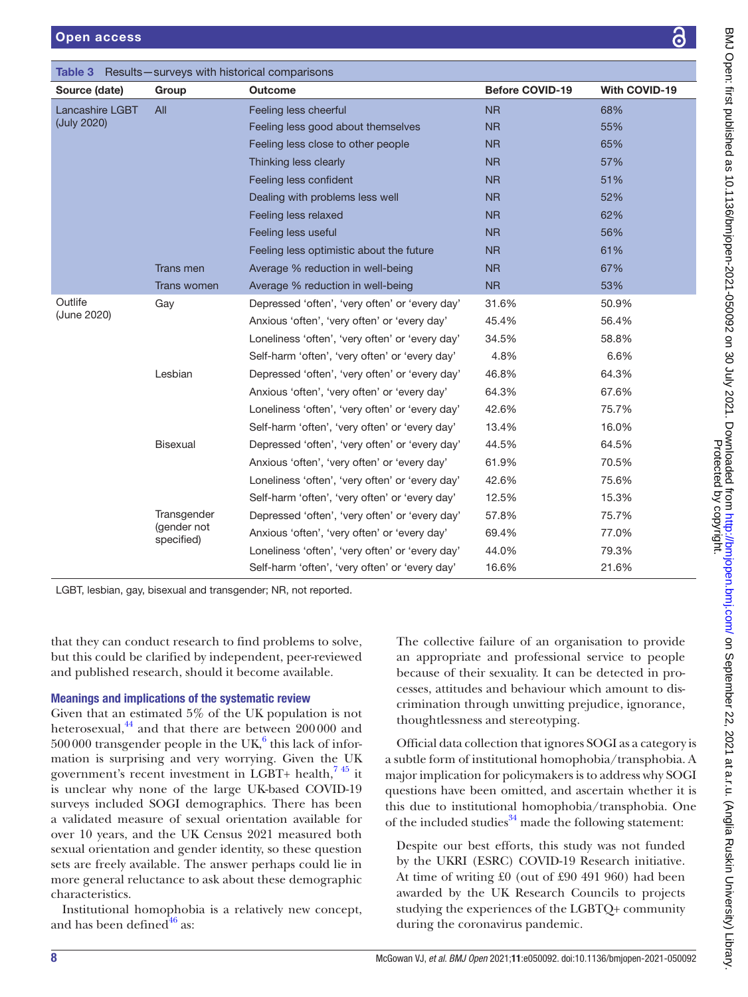$\overline{L}$ a  $(J<sub>l</sub>)$ 

<span id="page-7-0"></span>

| Source (date)   | Group                     | <b>Outcome</b>                                                                                                                                                                                                                                                                                                                                                                                                                                                                                                                                                                                                                                                                                                                                                                                                                                                                                                                                                                                                                                                                                                                                                                                                                                                                                                                                                                                                                                                                                                       | <b>Before COVID-19</b>                                                                                   | With COVID-19 |
|-----------------|---------------------------|----------------------------------------------------------------------------------------------------------------------------------------------------------------------------------------------------------------------------------------------------------------------------------------------------------------------------------------------------------------------------------------------------------------------------------------------------------------------------------------------------------------------------------------------------------------------------------------------------------------------------------------------------------------------------------------------------------------------------------------------------------------------------------------------------------------------------------------------------------------------------------------------------------------------------------------------------------------------------------------------------------------------------------------------------------------------------------------------------------------------------------------------------------------------------------------------------------------------------------------------------------------------------------------------------------------------------------------------------------------------------------------------------------------------------------------------------------------------------------------------------------------------|----------------------------------------------------------------------------------------------------------|---------------|
| Lancashire LGBT | All                       | Feeling less cheerful                                                                                                                                                                                                                                                                                                                                                                                                                                                                                                                                                                                                                                                                                                                                                                                                                                                                                                                                                                                                                                                                                                                                                                                                                                                                                                                                                                                                                                                                                                | <b>NR</b>                                                                                                | 68%           |
| (July 2020)     |                           | Feeling less good about themselves                                                                                                                                                                                                                                                                                                                                                                                                                                                                                                                                                                                                                                                                                                                                                                                                                                                                                                                                                                                                                                                                                                                                                                                                                                                                                                                                                                                                                                                                                   | <b>NR</b>                                                                                                | 55%           |
|                 |                           | Results-surveys with historical comparisons<br>Feeling less close to other people<br><b>NR</b><br>Thinking less clearly<br><b>NR</b><br>Feeling less confident<br><b>NR</b><br>Dealing with problems less well<br><b>NR</b><br>Feeling less relaxed<br><b>NR</b><br><b>NR</b><br>Feeling less useful<br>Feeling less optimistic about the future<br><b>NR</b><br>Average % reduction in well-being<br><b>NR</b><br>Average % reduction in well-being<br>N <sub>R</sub><br>Depressed 'often', 'very often' or 'every day'<br>31.6%<br>Anxious 'often', 'very often' or 'every day'<br>45.4%<br>34.5%<br>Loneliness 'often', 'very often' or 'every day'<br>4.8%<br>Self-harm 'often', 'very often' or 'every day'<br>Depressed 'often', 'very often' or 'every day'<br>46.8%<br>Anxious 'often', 'very often' or 'every day'<br>64.3%<br>Loneliness 'often', 'very often' or 'every day'<br>42.6%<br>Self-harm 'often', 'very often' or 'every day'<br>13.4%<br>44.5%<br>Depressed 'often', 'very often' or 'every day'<br>61.9%<br>Anxious 'often', 'very often' or 'every day'<br>Loneliness 'often', 'very often' or 'every day'<br>42.6%<br>Self-harm 'often', 'very often' or 'every day'<br>12.5%<br>57.8%<br>Depressed 'often', 'very often' or 'every day'<br>Anxious 'often', 'very often' or 'every day'<br>69.4%<br>44.0%<br>Loneliness 'often', 'very often' or 'every day'<br>16.6%<br>Self-harm 'often', 'very often' or 'every day'<br>LGBT, lesbian, gay, bisexual and transgender; NR, not reported. |                                                                                                          | 65%           |
|                 |                           |                                                                                                                                                                                                                                                                                                                                                                                                                                                                                                                                                                                                                                                                                                                                                                                                                                                                                                                                                                                                                                                                                                                                                                                                                                                                                                                                                                                                                                                                                                                      |                                                                                                          | 57%           |
|                 |                           |                                                                                                                                                                                                                                                                                                                                                                                                                                                                                                                                                                                                                                                                                                                                                                                                                                                                                                                                                                                                                                                                                                                                                                                                                                                                                                                                                                                                                                                                                                                      |                                                                                                          | 51%           |
|                 |                           |                                                                                                                                                                                                                                                                                                                                                                                                                                                                                                                                                                                                                                                                                                                                                                                                                                                                                                                                                                                                                                                                                                                                                                                                                                                                                                                                                                                                                                                                                                                      |                                                                                                          | 52%           |
|                 |                           |                                                                                                                                                                                                                                                                                                                                                                                                                                                                                                                                                                                                                                                                                                                                                                                                                                                                                                                                                                                                                                                                                                                                                                                                                                                                                                                                                                                                                                                                                                                      |                                                                                                          | 62%           |
|                 |                           |                                                                                                                                                                                                                                                                                                                                                                                                                                                                                                                                                                                                                                                                                                                                                                                                                                                                                                                                                                                                                                                                                                                                                                                                                                                                                                                                                                                                                                                                                                                      |                                                                                                          | 56%           |
|                 |                           |                                                                                                                                                                                                                                                                                                                                                                                                                                                                                                                                                                                                                                                                                                                                                                                                                                                                                                                                                                                                                                                                                                                                                                                                                                                                                                                                                                                                                                                                                                                      |                                                                                                          | 61%           |
|                 | Trans men                 |                                                                                                                                                                                                                                                                                                                                                                                                                                                                                                                                                                                                                                                                                                                                                                                                                                                                                                                                                                                                                                                                                                                                                                                                                                                                                                                                                                                                                                                                                                                      | 67%<br>53%<br>50.9%<br>56.4%<br>58.8%<br>6.6%                                                            |               |
|                 | Trans women               |                                                                                                                                                                                                                                                                                                                                                                                                                                                                                                                                                                                                                                                                                                                                                                                                                                                                                                                                                                                                                                                                                                                                                                                                                                                                                                                                                                                                                                                                                                                      |                                                                                                          |               |
| Outlife         | Gay                       |                                                                                                                                                                                                                                                                                                                                                                                                                                                                                                                                                                                                                                                                                                                                                                                                                                                                                                                                                                                                                                                                                                                                                                                                                                                                                                                                                                                                                                                                                                                      | 64.3%<br>67.6%<br>75.7%<br>16.0%<br>64.5%<br>70.5%<br>75.6%<br>15.3%<br>75.7%<br>77.0%<br>79.3%<br>21.6% |               |
| (June 2020)     |                           |                                                                                                                                                                                                                                                                                                                                                                                                                                                                                                                                                                                                                                                                                                                                                                                                                                                                                                                                                                                                                                                                                                                                                                                                                                                                                                                                                                                                                                                                                                                      |                                                                                                          |               |
|                 |                           |                                                                                                                                                                                                                                                                                                                                                                                                                                                                                                                                                                                                                                                                                                                                                                                                                                                                                                                                                                                                                                                                                                                                                                                                                                                                                                                                                                                                                                                                                                                      |                                                                                                          |               |
|                 |                           |                                                                                                                                                                                                                                                                                                                                                                                                                                                                                                                                                                                                                                                                                                                                                                                                                                                                                                                                                                                                                                                                                                                                                                                                                                                                                                                                                                                                                                                                                                                      |                                                                                                          |               |
|                 | Lesbian                   |                                                                                                                                                                                                                                                                                                                                                                                                                                                                                                                                                                                                                                                                                                                                                                                                                                                                                                                                                                                                                                                                                                                                                                                                                                                                                                                                                                                                                                                                                                                      |                                                                                                          |               |
|                 |                           |                                                                                                                                                                                                                                                                                                                                                                                                                                                                                                                                                                                                                                                                                                                                                                                                                                                                                                                                                                                                                                                                                                                                                                                                                                                                                                                                                                                                                                                                                                                      |                                                                                                          |               |
|                 |                           |                                                                                                                                                                                                                                                                                                                                                                                                                                                                                                                                                                                                                                                                                                                                                                                                                                                                                                                                                                                                                                                                                                                                                                                                                                                                                                                                                                                                                                                                                                                      |                                                                                                          |               |
|                 |                           |                                                                                                                                                                                                                                                                                                                                                                                                                                                                                                                                                                                                                                                                                                                                                                                                                                                                                                                                                                                                                                                                                                                                                                                                                                                                                                                                                                                                                                                                                                                      |                                                                                                          |               |
|                 | <b>Bisexual</b>           |                                                                                                                                                                                                                                                                                                                                                                                                                                                                                                                                                                                                                                                                                                                                                                                                                                                                                                                                                                                                                                                                                                                                                                                                                                                                                                                                                                                                                                                                                                                      |                                                                                                          |               |
|                 |                           |                                                                                                                                                                                                                                                                                                                                                                                                                                                                                                                                                                                                                                                                                                                                                                                                                                                                                                                                                                                                                                                                                                                                                                                                                                                                                                                                                                                                                                                                                                                      |                                                                                                          |               |
|                 |                           |                                                                                                                                                                                                                                                                                                                                                                                                                                                                                                                                                                                                                                                                                                                                                                                                                                                                                                                                                                                                                                                                                                                                                                                                                                                                                                                                                                                                                                                                                                                      |                                                                                                          |               |
|                 |                           |                                                                                                                                                                                                                                                                                                                                                                                                                                                                                                                                                                                                                                                                                                                                                                                                                                                                                                                                                                                                                                                                                                                                                                                                                                                                                                                                                                                                                                                                                                                      |                                                                                                          |               |
|                 | Transgender               |                                                                                                                                                                                                                                                                                                                                                                                                                                                                                                                                                                                                                                                                                                                                                                                                                                                                                                                                                                                                                                                                                                                                                                                                                                                                                                                                                                                                                                                                                                                      |                                                                                                          |               |
|                 | (gender not<br>specified) |                                                                                                                                                                                                                                                                                                                                                                                                                                                                                                                                                                                                                                                                                                                                                                                                                                                                                                                                                                                                                                                                                                                                                                                                                                                                                                                                                                                                                                                                                                                      |                                                                                                          |               |
|                 |                           |                                                                                                                                                                                                                                                                                                                                                                                                                                                                                                                                                                                                                                                                                                                                                                                                                                                                                                                                                                                                                                                                                                                                                                                                                                                                                                                                                                                                                                                                                                                      |                                                                                                          |               |
|                 |                           |                                                                                                                                                                                                                                                                                                                                                                                                                                                                                                                                                                                                                                                                                                                                                                                                                                                                                                                                                                                                                                                                                                                                                                                                                                                                                                                                                                                                                                                                                                                      |                                                                                                          |               |

that they can conduct research to find problems to solve, but this could be clarified by independent, peer-reviewed and published research, should it become available.

# Meanings and implications of the systematic review

Given that an estimated 5% of the UK population is not heterosexual,<sup>44</sup> and that there are between 200000 and  $500000$  transgender people in the UK, $^6$  $^6$  this lack of information is surprising and very worrying. Given the UK government's recent investment in LGBT+ health, $7\frac{45}{1}$  it is unclear why none of the large UK-based COVID-19 surveys included SOGI demographics. There has been a validated measure of sexual orientation available for over 10 years, and the UK Census 2021 measured both sexual orientation and gender identity, so these question sets are freely available. The answer perhaps could lie in more general reluctance to ask about these demographic characteristics.

Institutional homophobia is a relatively new concept, and has been defined $\overline{4^{6}}$  as:

The collective failure of an organisation to provide an appropriate and professional service to people because of their sexuality. It can be detected in processes, attitudes and behaviour which amount to discrimination through unwitting prejudice, ignorance, thoughtlessness and stereotyping.

Official data collection that ignores SOGI as a category is a subtle form of institutional homophobia/transphobia. A major implication for policymakers is to address why SOGI questions have been omitted, and ascertain whether it is this due to institutional homophobia/transphobia. One of the included studies<sup>34</sup> made the following statement:

Despite our best efforts, this study was not funded by the UKRI (ESRC) COVID-19 Research initiative. At time of writing £0 (out of £90 491 960) had been awarded by the UK Research Councils to projects studying the experiences of the LGBTQ+ community during the coronavirus pandemic.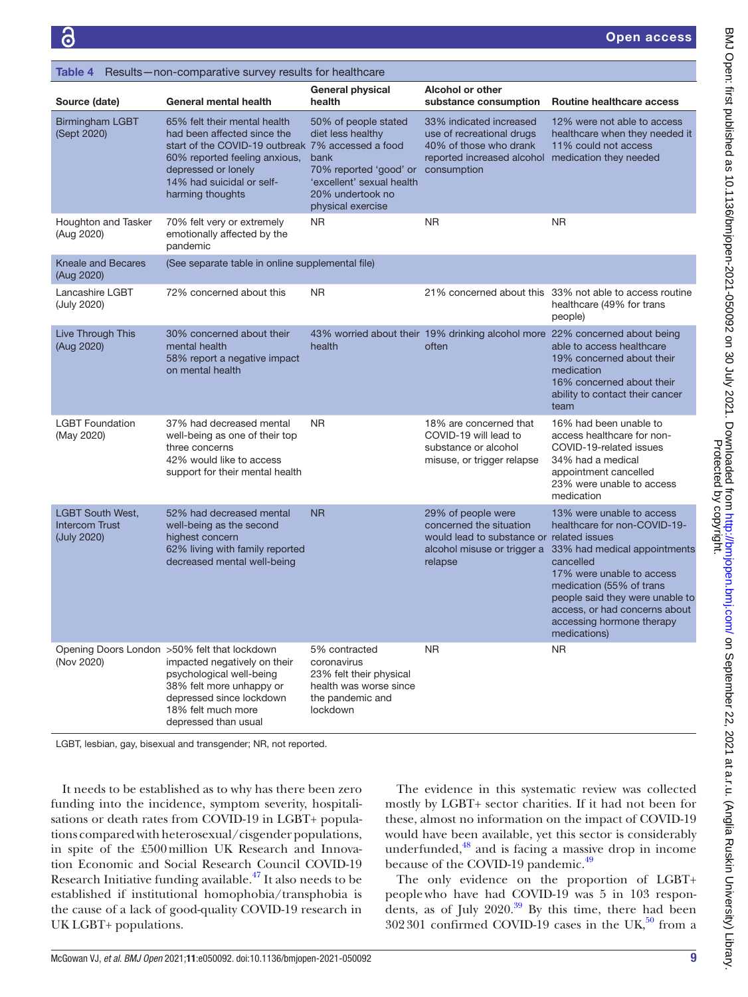<span id="page-8-0"></span>

|                                                                 | <b>Table 4</b> Results-non-comparative survey results for healthcare                                                                                                                                                      |                                                                                                                                                               |                                                                                                                                     |                                                                                                                                                                                                                                                                                                              |
|-----------------------------------------------------------------|---------------------------------------------------------------------------------------------------------------------------------------------------------------------------------------------------------------------------|---------------------------------------------------------------------------------------------------------------------------------------------------------------|-------------------------------------------------------------------------------------------------------------------------------------|--------------------------------------------------------------------------------------------------------------------------------------------------------------------------------------------------------------------------------------------------------------------------------------------------------------|
| Source (date)                                                   | <b>General mental health</b>                                                                                                                                                                                              | <b>General physical</b><br>health                                                                                                                             | Alcohol or other<br>substance consumption                                                                                           | <b>Routine healthcare access</b>                                                                                                                                                                                                                                                                             |
| Birmingham LGBT<br>(Sept 2020)                                  | 65% felt their mental health<br>had been affected since the<br>start of the COVID-19 outbreak 7% accessed a food<br>60% reported feeling anxious,<br>depressed or lonely<br>14% had suicidal or self-<br>harming thoughts | 50% of people stated<br>diet less healthy<br>bank<br>70% reported 'good' or consumption<br>'excellent' sexual health<br>20% undertook no<br>physical exercise | 33% indicated increased<br>use of recreational drugs<br>40% of those who drank<br>reported increased alcohol medication they needed | 12% were not able to access<br>healthcare when they needed it<br>11% could not access                                                                                                                                                                                                                        |
| Houghton and Tasker<br>(Aug 2020)                               | 70% felt very or extremely<br>emotionally affected by the<br>pandemic                                                                                                                                                     | <b>NR</b>                                                                                                                                                     | <b>NR</b>                                                                                                                           | <b>NR</b>                                                                                                                                                                                                                                                                                                    |
| <b>Kneale and Becares</b><br>(Aug 2020)                         | (See separate table in online supplemental file)                                                                                                                                                                          |                                                                                                                                                               |                                                                                                                                     |                                                                                                                                                                                                                                                                                                              |
| Lancashire LGBT<br>(July 2020)                                  | 72% concerned about this                                                                                                                                                                                                  | <b>NR</b>                                                                                                                                                     |                                                                                                                                     | 21% concerned about this 33% not able to access routine<br>healthcare (49% for trans<br>people)                                                                                                                                                                                                              |
| Live Through This<br>(Aug 2020)                                 | 30% concerned about their<br>mental health<br>58% report a negative impact<br>on mental health                                                                                                                            | health                                                                                                                                                        | often                                                                                                                               | 43% worried about their 19% drinking alcohol more 22% concerned about being<br>able to access healthcare<br>19% concerned about their<br>medication<br>16% concerned about their<br>ability to contact their cancer<br>team                                                                                  |
| <b>LGBT Foundation</b><br>(May 2020)                            | 37% had decreased mental<br>well-being as one of their top<br>three concerns<br>42% would like to access<br>support for their mental health                                                                               | NR.                                                                                                                                                           | 18% are concerned that<br>COVID-19 will lead to<br>substance or alcohol<br>misuse, or trigger relapse                               | 16% had been unable to<br>access healthcare for non-<br>COVID-19-related issues<br>34% had a medical<br>appointment cancelled<br>23% were unable to access<br>medication                                                                                                                                     |
| <b>LGBT South West,</b><br><b>Intercom Trust</b><br>(July 2020) | 52% had decreased mental<br>well-being as the second<br>highest concern<br>62% living with family reported<br>decreased mental well-being                                                                                 | <b>NR</b>                                                                                                                                                     | 29% of people were<br>concerned the situation<br>would lead to substance or related issues<br>relapse                               | 13% were unable to access<br>healthcare for non-COVID-19-<br>alcohol misuse or trigger a 33% had medical appointments<br>cancelled<br>17% were unable to access<br>medication (55% of trans<br>people said they were unable to<br>access, or had concerns about<br>accessing hormone therapy<br>medications) |
| (Nov 2020)                                                      | Opening Doors London >50% felt that lockdown<br>impacted negatively on their<br>psychological well-being<br>38% felt more unhappy or<br>depressed since lockdown<br>18% felt much more<br>depressed than usual            | 5% contracted<br>coronavirus<br>23% felt their physical<br>health was worse since<br>the pandemic and<br>lockdown                                             | NR                                                                                                                                  | NR.                                                                                                                                                                                                                                                                                                          |

LGBT, lesbian, gay, bisexual and transgender; NR, not reported.

It needs to be established as to why has there been zero funding into the incidence, symptom severity, hospitalisations or death rates from COVID-19 in LGBT+ populations compared with heterosexual/cisgender populations, in spite of the £500million UK Research and Innovation Economic and Social Research Council COVID-19 Research Initiative funding available. $^{47}$  It also needs to be established if institutional homophobia/transphobia is the cause of a lack of good-quality COVID-19 research in UK LGBT+ populations.

The evidence in this systematic review was collected mostly by LGBT+ sector charities. If it had not been for these, almost no information on the impact of COVID-19 would have been available, yet this sector is considerably underfunded, $^{48}$  and is facing a massive drop in income because of the COVID-19 pandemic.<sup>[49](#page-11-26)</sup>

The only evidence on the proportion of LGBT+ peoplewho have had COVID-19 was 5 in 103 respondents, as of July  $2020$ .<sup>39</sup> By this time, there had been  $302301$  confirmed COVID-19 cases in the UK,<sup>[50](#page-11-27)</sup> from a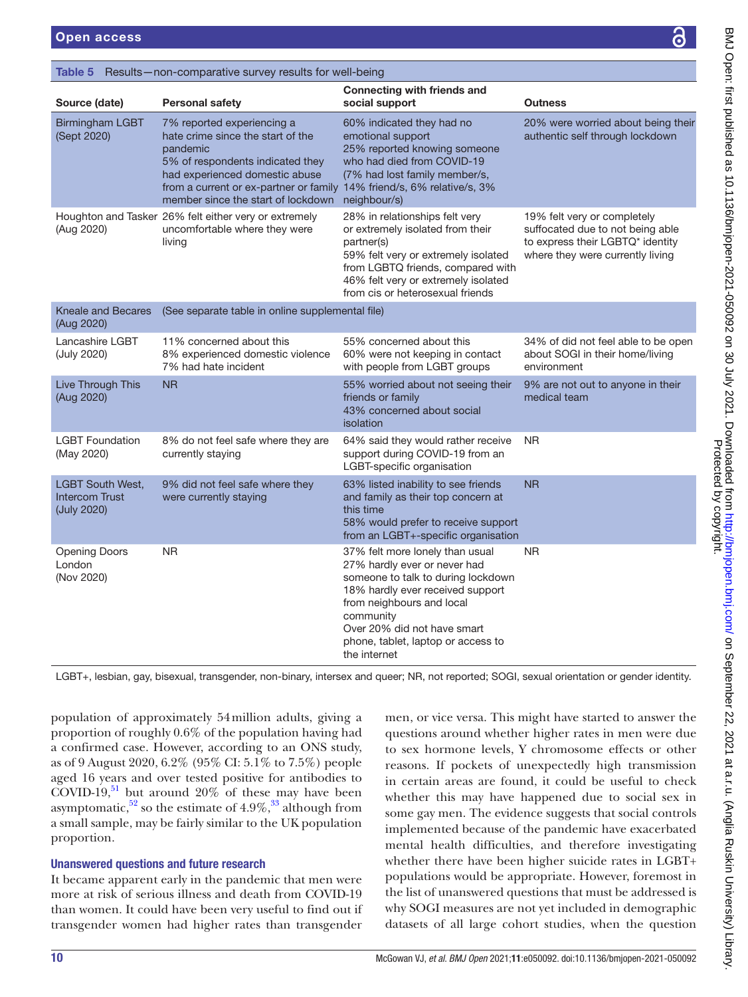<span id="page-9-0"></span>

| Source (date)                                                   | <b>Personal safety</b>                                                                                                                                                                                                                                            | Connecting with friends and<br>social support                                                                                                                                                                                                                            | <b>Outness</b>                                                                                                                          |
|-----------------------------------------------------------------|-------------------------------------------------------------------------------------------------------------------------------------------------------------------------------------------------------------------------------------------------------------------|--------------------------------------------------------------------------------------------------------------------------------------------------------------------------------------------------------------------------------------------------------------------------|-----------------------------------------------------------------------------------------------------------------------------------------|
| <b>Birmingham LGBT</b><br>(Sept 2020)                           | 7% reported experiencing a<br>hate crime since the start of the<br>pandemic<br>5% of respondents indicated they<br>had experienced domestic abuse<br>from a current or ex-partner or family 14% friend/s, 6% relative/s, 3%<br>member since the start of lockdown | 60% indicated they had no<br>emotional support<br>25% reported knowing someone<br>who had died from COVID-19<br>(7% had lost family member/s,<br>neighbour/s)                                                                                                            | 20% were worried about being their<br>authentic self through lockdown                                                                   |
| (Aug 2020)                                                      | Houghton and Tasker 26% felt either very or extremely<br>uncomfortable where they were<br>living                                                                                                                                                                  | 28% in relationships felt very<br>or extremely isolated from their<br>partner(s)<br>59% felt very or extremely isolated<br>from LGBTQ friends, compared with<br>46% felt very or extremely isolated<br>from cis or heterosexual friends                                  | 19% felt very or completely<br>suffocated due to not being able<br>to express their LGBTQ* identity<br>where they were currently living |
| Kneale and Becares<br>(Aug 2020)                                | (See separate table in online supplemental file)                                                                                                                                                                                                                  |                                                                                                                                                                                                                                                                          |                                                                                                                                         |
| Lancashire LGBT<br>(July 2020)                                  | 11% concerned about this<br>8% experienced domestic violence<br>7% had hate incident                                                                                                                                                                              | 55% concerned about this<br>60% were not keeping in contact<br>with people from LGBT groups                                                                                                                                                                              | 34% of did not feel able to be open<br>about SOGI in their home/living<br>environment                                                   |
| Live Through This<br>(Aug 2020)                                 | <b>NR</b>                                                                                                                                                                                                                                                         | 55% worried about not seeing their<br>friends or family<br>43% concerned about social<br>isolation                                                                                                                                                                       | 9% are not out to anyone in their<br>medical team                                                                                       |
| <b>LGBT Foundation</b><br>(May 2020)                            | 8% do not feel safe where they are<br>currently staying                                                                                                                                                                                                           | 64% said they would rather receive<br>support during COVID-19 from an<br>LGBT-specific organisation                                                                                                                                                                      | <b>NR</b>                                                                                                                               |
| <b>LGBT South West,</b><br><b>Intercom Trust</b><br>(July 2020) | 9% did not feel safe where they<br>were currently staying                                                                                                                                                                                                         | 63% listed inability to see friends<br>and family as their top concern at<br>this time<br>58% would prefer to receive support<br>from an LGBT+-specific organisation                                                                                                     | <b>NR</b>                                                                                                                               |
| <b>Opening Doors</b><br>London<br>(Nov 2020)                    | <b>NR</b>                                                                                                                                                                                                                                                         | 37% felt more lonely than usual<br>27% hardly ever or never had<br>someone to talk to during lockdown<br>18% hardly ever received support<br>from neighbours and local<br>community<br>Over 20% did not have smart<br>phone, tablet, laptop or access to<br>the internet | <b>NR</b>                                                                                                                               |

LGBT+, lesbian, gay, bisexual, transgender, non-binary, intersex and queer; NR, not reported; SOGI, sexual orientation or gender identity.

population of approximately 54million adults, giving a proportion of roughly 0.6% of the population having had a confirmed case. However, according to an ONS study, as of 9 August 2020, 6.2% (95% CI: 5.1% to 7.5%) people aged 16 years and over tested positive for antibodies to COVID-19, $^{51}$  but around 20% of these may have been asymptomatic,<sup>52</sup> so the estimate of  $4.9\%$ ,<sup>[33](#page-11-8)</sup> although from a small sample, may be fairly similar to the UK population proportion.

# Unanswered questions and future research

It became apparent early in the pandemic that men were more at risk of serious illness and death from COVID-19 than women. It could have been very useful to find out if transgender women had higher rates than transgender

men, or vice versa. This might have started to answer the questions around whether higher rates in men were due to sex hormone levels, Y chromosome effects or other reasons. If pockets of unexpectedly high transmission in certain areas are found, it could be useful to check whether this may have happened due to social sex in some gay men. The evidence suggests that social controls implemented because of the pandemic have exacerbated mental health difficulties, and therefore investigating whether there have been higher suicide rates in LGBT+ populations would be appropriate. However, foremost in the list of unanswered questions that must be addressed is why SOGI measures are not yet included in demographic datasets of all large cohort studies, when the question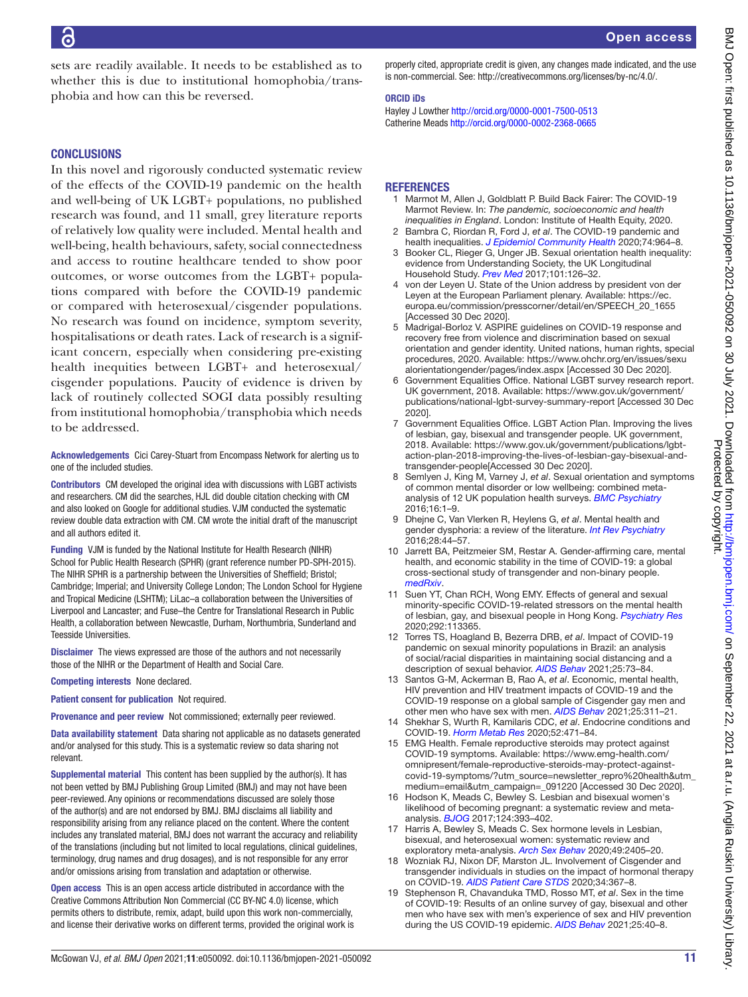sets are readily available. It needs to be established as to whether this is due to institutional homophobia/transphobia and how can this be reversed.

# **CONCLUSIONS**

In this novel and rigorously conducted systematic review of the effects of the COVID-19 pandemic on the health and well-being of UK LGBT+ populations, no published research was found, and 11 small, grey literature reports of relatively low quality were included. Mental health and well-being, health behaviours, safety, social connectedness and access to routine healthcare tended to show poor outcomes, or worse outcomes from the LGBT+ populations compared with before the COVID-19 pandemic or compared with heterosexual/cisgender populations. No research was found on incidence, symptom severity, hospitalisations or death rates. Lack of research is a significant concern, especially when considering pre-existing health inequities between LGBT+ and heterosexual/ cisgender populations. Paucity of evidence is driven by lack of routinely collected SOGI data possibly resulting from institutional homophobia/transphobia which needs to be addressed.

Acknowledgements Cici Carey-Stuart from Encompass Network for alerting us to one of the included studies.

Contributors CM developed the original idea with discussions with LGBT activists and researchers. CM did the searches, HJL did double citation checking with CM and also looked on Google for additional studies. VJM conducted the systematic review double data extraction with CM. CM wrote the initial draft of the manuscript and all authors edited it.

Funding VJM is funded by the National Institute for Health Research (NIHR) School for Public Health Research (SPHR) (grant reference number PD-SPH-2015). The NIHR SPHR is a partnership between the Universities of Sheffield; Bristol; Cambridge; Imperial; and University College London; The London School for Hygiene and Tropical Medicine (LSHTM); LiLac–a collaboration between the Universities of Liverpool and Lancaster; and Fuse–the Centre for Translational Research in Public Health, a collaboration between Newcastle, Durham, Northumbria, Sunderland and Teesside Universities.

**Disclaimer** The views expressed are those of the authors and not necessarily those of the NIHR or the Department of Health and Social Care.

Competing interests None declared.

Patient consent for publication Not required.

Provenance and peer review Not commissioned; externally peer reviewed.

Data availability statement Data sharing not applicable as no datasets generated and/or analysed for this study. This is a systematic review so data sharing not relevant.

Supplemental material This content has been supplied by the author(s). It has not been vetted by BMJ Publishing Group Limited (BMJ) and may not have been peer-reviewed. Any opinions or recommendations discussed are solely those of the author(s) and are not endorsed by BMJ. BMJ disclaims all liability and responsibility arising from any reliance placed on the content. Where the content includes any translated material, BMJ does not warrant the accuracy and reliability of the translations (including but not limited to local regulations, clinical guidelines, terminology, drug names and drug dosages), and is not responsible for any error and/or omissions arising from translation and adaptation or otherwise.

Open access This is an open access article distributed in accordance with the Creative Commons Attribution Non Commercial (CC BY-NC 4.0) license, which permits others to distribute, remix, adapt, build upon this work non-commercially, and license their derivative works on different terms, provided the original work is

#### ORCID iDs

Hayley J Lowther <http://orcid.org/0000-0001-7500-0513> Catherine Meads <http://orcid.org/0000-0002-2368-0665>

## REFERENCES

- <span id="page-10-0"></span>1 Marmot M, Allen J, Goldblatt P. Build Back Fairer: The COVID-19 Marmot Review. In: *The pandemic, socioeconomic and health inequalities in England*. London: Institute of Health Equity, 2020.
- <span id="page-10-1"></span>2 Bambra C, Riordan R, Ford J, *et al*. The COVID-19 pandemic and health inequalities. *[J Epidemiol Community Health](http://dx.doi.org/10.1136/jech-2020-214401)* 2020;74:964–8.
- <span id="page-10-2"></span>Booker CL, Rieger G, Unger JB. Sexual orientation health inequality: evidence from Understanding Society, the UK Longitudinal Household Study. *[Prev Med](http://dx.doi.org/10.1016/j.ypmed.2017.06.010)* 2017;101:126–32.
- <span id="page-10-3"></span>von der Leyen U. State of the Union address by president von der Leyen at the European Parliament plenary. Available: [https://ec.](https://ec.europa.eu/commission/presscorner/detail/en/SPEECH_20_1655) [europa.eu/commission/presscorner/detail/en/SPEECH\\_20\\_1655](https://ec.europa.eu/commission/presscorner/detail/en/SPEECH_20_1655)  [Accessed 30 Dec 2020].
- <span id="page-10-4"></span>5 Madrigal-Borloz V. ASPIRE guidelines on COVID-19 response and recovery free from violence and discrimination based on sexual orientation and gender identity. United nations, human rights, special procedures, 2020. Available: [https://www.ohchr.org/en/issues/sexu](https://www.ohchr.org/en/issues/sexualorientationgender/pages/index.aspx) [alorientationgender/pages/index.aspx](https://www.ohchr.org/en/issues/sexualorientationgender/pages/index.aspx) [Accessed 30 Dec 2020].
- <span id="page-10-5"></span>6 Government Equalities Office. National LGBT survey research report. UK government, 2018. Available: [https://www.gov.uk/government/](https://www.gov.uk/government/publications/national-lgbt-survey-summary-report) [publications/national-lgbt-survey-summary-report](https://www.gov.uk/government/publications/national-lgbt-survey-summary-report) [Accessed 30 Dec 2020].
- <span id="page-10-6"></span>7 Government Equalities Office. LGBT Action Plan. Improving the lives of lesbian, gay, bisexual and transgender people. UK government, 2018. Available: [https://www.gov.uk/government/publications/lgbt](https://www.gov.uk/government/publications/lgbt-action-plan-2018-improving-the-lives-of-lesbian-gay-bisexual-and-transgender-people)[action-plan-2018-improving-the-lives-of-lesbian-gay-bisexual-and](https://www.gov.uk/government/publications/lgbt-action-plan-2018-improving-the-lives-of-lesbian-gay-bisexual-and-transgender-people)[transgender-people\[](https://www.gov.uk/government/publications/lgbt-action-plan-2018-improving-the-lives-of-lesbian-gay-bisexual-and-transgender-people)Accessed 30 Dec 2020].
- <span id="page-10-7"></span>8 Semlyen J, King M, Varney J, *et al*. Sexual orientation and symptoms of common mental disorder or low wellbeing: combined metaanalysis of 12 UK population health surveys. *[BMC Psychiatry](http://dx.doi.org/10.1186/s12888-016-0767-z)* 2016;16:1–9.
- 9 Dhejne C, Van Vlerken R, Heylens G, *et al*. Mental health and gender dysphoria: a review of the literature. *[Int Rev Psychiatry](http://dx.doi.org/10.3109/09540261.2015.1115753)* 2016;28:44–57.
- <span id="page-10-8"></span>10 Jarrett BA, Peitzmeier SM, Restar A. Gender-affirming care, mental health, and economic stability in the time of COVID-19: a global cross-sectional study of transgender and non-binary people. *[medRxiv](http://dx.doi.org/10.1101/2020.11.02.20224709)*.
- 11 Suen YT, Chan RCH, Wong EMY. Effects of general and sexual minority-specific COVID-19-related stressors on the mental health of lesbian, gay, and bisexual people in Hong Kong. *[Psychiatry Res](http://dx.doi.org/10.1016/j.psychres.2020.113365)* 2020;292:113365.
- 12 Torres TS, Hoagland B, Bezerra DRB, *et al*. Impact of COVID-19 pandemic on sexual minority populations in Brazil: an analysis of social/racial disparities in maintaining social distancing and a description of sexual behavior. *[AIDS Behav](http://dx.doi.org/10.1007/s10461-020-02984-1)* 2021;25:73–84.
- 13 Santos G-M, Ackerman B, Rao A, *et al*. Economic, mental health, HIV prevention and HIV treatment impacts of COVID-19 and the COVID-19 response on a global sample of Cisgender gay men and other men who have sex with men. *[AIDS Behav](http://dx.doi.org/10.1007/s10461-020-02969-0)* 2021;25:311–21.
- <span id="page-10-9"></span>14 Shekhar S, Wurth R, Kamilaris CDC, *et al*. Endocrine conditions and COVID-19. *[Horm Metab Res](http://dx.doi.org/10.1055/a-1172-1352)* 2020;52:471–84.
- <span id="page-10-10"></span>15 EMG Health. Female reproductive steroids may protect against COVID-19 symptoms. Available: [https://www.emg-health.com/](https://www.emg-health.com/omnipresent/female-reproductive-steroids-may-protect-against-covid-19-symptoms/?utm_source=newsletter_repro%20health&utm_medium=email&utm_campaign=_091220) [omnipresent/female-reproductive-steroids-may-protect-against](https://www.emg-health.com/omnipresent/female-reproductive-steroids-may-protect-against-covid-19-symptoms/?utm_source=newsletter_repro%20health&utm_medium=email&utm_campaign=_091220)[covid-19-symptoms/?utm\\_source=newsletter\\_repro%20health&utm\\_](https://www.emg-health.com/omnipresent/female-reproductive-steroids-may-protect-against-covid-19-symptoms/?utm_source=newsletter_repro%20health&utm_medium=email&utm_campaign=_091220) [medium=email&utm\\_campaign=\\_091220](https://www.emg-health.com/omnipresent/female-reproductive-steroids-may-protect-against-covid-19-symptoms/?utm_source=newsletter_repro%20health&utm_medium=email&utm_campaign=_091220) [Accessed 30 Dec 2020].
- <span id="page-10-11"></span>16 Hodson K, Meads C, Bewley S. Lesbian and bisexual women's likelihood of becoming pregnant: a systematic review and metaanalysis. *[BJOG](http://dx.doi.org/10.1111/1471-0528.14449)* 2017;124:393–402.
- <span id="page-10-12"></span>17 Harris A, Bewley S, Meads C. Sex hormone levels in Lesbian, bisexual, and heterosexual women: systematic review and exploratory meta-analysis. *[Arch Sex Behav](http://dx.doi.org/10.1007/s10508-020-01717-8)* 2020;49:2405–20.
- <span id="page-10-13"></span>18 Wozniak RJ, Nixon DF, Marston JL. Involvement of Cisgender and transgender individuals in studies on the impact of hormonal therapy on COVID-19. *[AIDS Patient Care STDS](http://dx.doi.org/10.1089/apc.2020.0118)* 2020;34:367–8.
- <span id="page-10-14"></span>19 Stephenson R, Chavanduka TMD, Rosso MT, *et al*. Sex in the time of COVID-19: Results of an online survey of gay, bisexual and other men who have sex with men's experience of sex and HIV prevention during the US COVID-19 epidemic. *[AIDS Behav](http://dx.doi.org/10.1007/s10461-020-03024-8)* 2021;25:40–8.